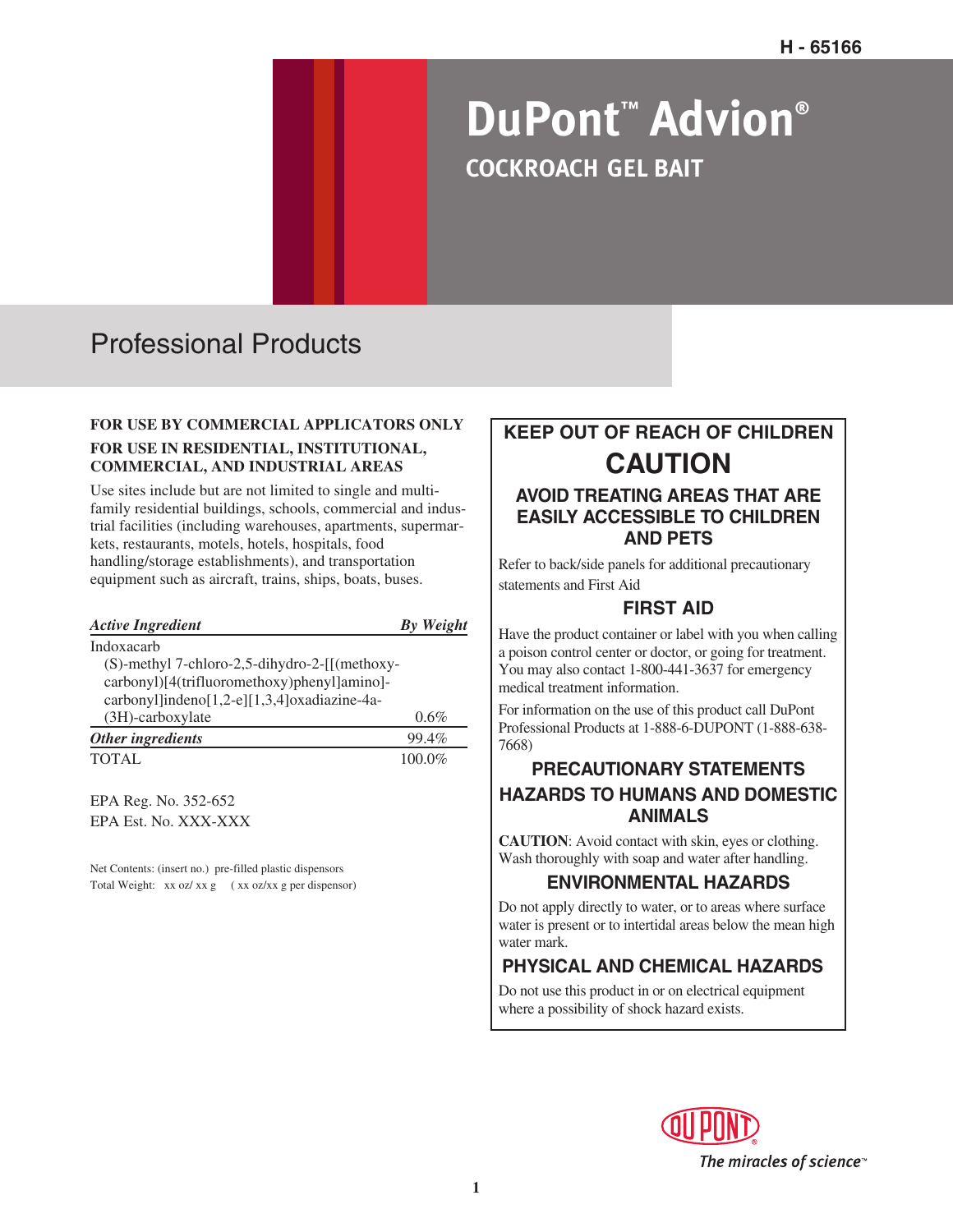# **DuPont™ Advion® COCKROACH GEL BAIT**

# Professional Products

#### **FOR USE BY COMMERCIAL APPLICATORS ONLY FOR USE IN RESIDENTIAL, INSTITUTIONAL, COMMERCIAL, AND INDUSTRIAL AREAS**

Use sites include but are not limited to single and multifamily residential buildings, schools, commercial and industrial facilities (including warehouses, apartments, supermarkets, restaurants, motels, hotels, hospitals, food handling/storage establishments), and transportation equipment such as aircraft, trains, ships, boats, buses.

| <b>Active Ingredient</b>                      | <b>By Weight</b> |
|-----------------------------------------------|------------------|
| Indoxacarb                                    |                  |
| (S)-methyl 7-chloro-2,5-dihydro-2-[[(methoxy- |                  |
| carbonyl)[4(trifluoromethoxy)phenyl]amino]-   |                  |
| carbonyl]indeno[1,2-e][1,3,4]oxadiazine-4a-   |                  |
| $(3H)$ -carboxylate                           | $0.6\%$          |
| Other ingredients                             | 99.4%            |
| <b>TOTAL</b>                                  | 100.0%           |
|                                               |                  |

EPA Reg. No. 352-652 EPA Est. No. XXX-XXX

Net Contents: (insert no.) pre-filled plastic dispensors Total Weight: xx oz/ xx g ( xx oz/ xx g per dispensor)

# **KEEP OUT OF REACH OF CHILDREN CAUTION**

## **AVOID TREATING AREAS THAT ARE EASILY ACCESSIBLE TO CHILDREN AND PETS**

Refer to back/side panels for additional precautionary statements and First Aid

# **FIRST AID**

Have the product container or label with you when calling a poison control center or doctor, or going for treatment. You may also contact 1-800-441-3637 for emergency medical treatment information.

For information on the use of this product call DuPont Professional Products at 1-888-6-DUPONT (1-888-638- 7668)

# **PRECAUTIONARY STATEMENTS HAZARDS TO HUMANS AND DOMESTIC ANIMALS**

**CAUTION**: Avoid contact with skin, eyes or clothing. Wash thoroughly with soap and water after handling.

## **ENVIRONMENTAL HAZARDS**

Do not apply directly to water, or to areas where surface water is present or to intertidal areas below the mean high water mark.

# **PHYSICAL AND CHEMICAL HAZARDS**

Do not use this product in or on electrical equipment where a possibility of shock hazard exists.

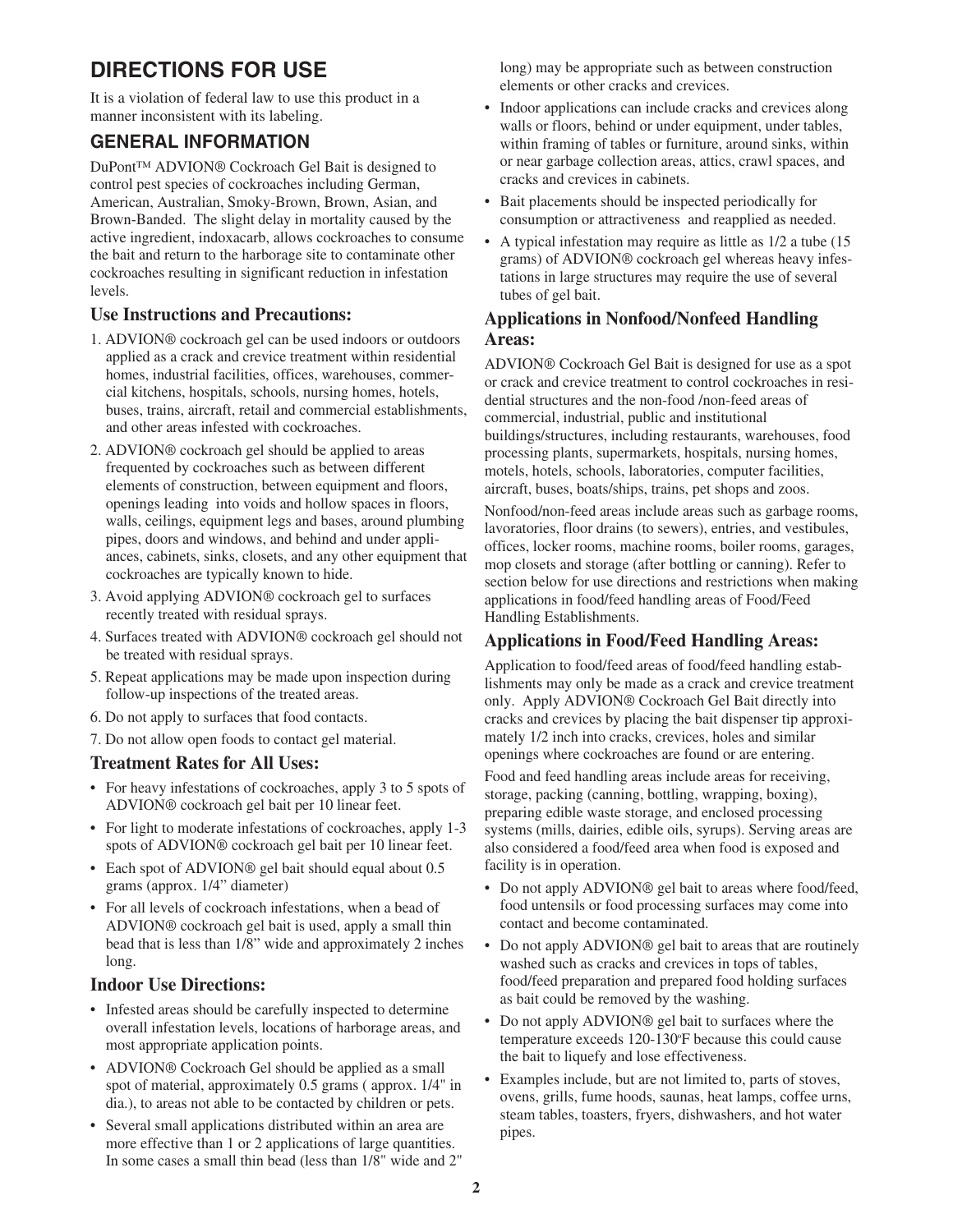# **DIRECTIONS FOR USE**

It is a violation of federal law to use this product in a manner inconsistent with its labeling.

## **GENERAL INFORMATION**

DuPont™ ADVION® Cockroach Gel Bait is designed to control pest species of cockroaches including German, American, Australian, Smoky-Brown, Brown, Asian, and Brown-Banded. The slight delay in mortality caused by the active ingredient, indoxacarb, allows cockroaches to consume the bait and return to the harborage site to contaminate other cockroaches resulting in significant reduction in infestation levels.

#### **Use Instructions and Precautions:**

- 1. ADVION® cockroach gel can be used indoors or outdoors applied as a crack and crevice treatment within residential homes, industrial facilities, offices, warehouses, commercial kitchens, hospitals, schools, nursing homes, hotels, buses, trains, aircraft, retail and commercial establishments, and other areas infested with cockroaches.
- 2. ADVION® cockroach gel should be applied to areas frequented by cockroaches such as between different elements of construction, between equipment and floors, openings leading into voids and hollow spaces in floors, walls, ceilings, equipment legs and bases, around plumbing pipes, doors and windows, and behind and under appliances, cabinets, sinks, closets, and any other equipment that cockroaches are typically known to hide.
- 3. Avoid applying ADVION® cockroach gel to surfaces recently treated with residual sprays.
- 4. Surfaces treated with ADVION® cockroach gel should not be treated with residual sprays.
- 5. Repeat applications may be made upon inspection during follow-up inspections of the treated areas.
- 6. Do not apply to surfaces that food contacts.
- 7. Do not allow open foods to contact gel material.

#### **Treatment Rates for All Uses:**

- For heavy infestations of cockroaches, apply 3 to 5 spots of ADVION® cockroach gel bait per 10 linear feet.
- For light to moderate infestations of cockroaches, apply 1-3 spots of ADVION® cockroach gel bait per 10 linear feet.
- Each spot of ADVION® gel bait should equal about 0.5 grams (approx. 1/4" diameter)
- For all levels of cockroach infestations, when a bead of ADVION® cockroach gel bait is used, apply a small thin bead that is less than 1/8" wide and approximately 2 inches long.

#### **Indoor Use Directions:**

- Infested areas should be carefully inspected to determine overall infestation levels, locations of harborage areas, and most appropriate application points.
- ADVION® Cockroach Gel should be applied as a small spot of material, approximately 0.5 grams ( approx. 1/4" in dia.), to areas not able to be contacted by children or pets.
- Several small applications distributed within an area are more effective than 1 or 2 applications of large quantities. In some cases a small thin bead (less than 1/8" wide and 2"

long) may be appropriate such as between construction elements or other cracks and crevices.

- Indoor applications can include cracks and crevices along walls or floors, behind or under equipment, under tables, within framing of tables or furniture, around sinks, within or near garbage collection areas, attics, crawl spaces, and cracks and crevices in cabinets.
- Bait placements should be inspected periodically for consumption or attractiveness and reapplied as needed.
- A typical infestation may require as little as  $1/2$  a tube (15) grams) of ADVION® cockroach gel whereas heavy infestations in large structures may require the use of several tubes of gel bait.

#### **Applications in Nonfood/Nonfeed Handling Areas:**

ADVION® Cockroach Gel Bait is designed for use as a spot or crack and crevice treatment to control cockroaches in residential structures and the non-food /non-feed areas of commercial, industrial, public and institutional buildings/structures, including restaurants, warehouses, food processing plants, supermarkets, hospitals, nursing homes, motels, hotels, schools, laboratories, computer facilities, aircraft, buses, boats/ships, trains, pet shops and zoos.

Nonfood/non-feed areas include areas such as garbage rooms, lavoratories, floor drains (to sewers), entries, and vestibules, offices, locker rooms, machine rooms, boiler rooms, garages, mop closets and storage (after bottling or canning). Refer to section below for use directions and restrictions when making applications in food/feed handling areas of Food/Feed Handling Establishments.

#### **Applications in Food/Feed Handling Areas:**

Application to food/feed areas of food/feed handling establishments may only be made as a crack and crevice treatment only. Apply ADVION® Cockroach Gel Bait directly into cracks and crevices by placing the bait dispenser tip approximately 1/2 inch into cracks, crevices, holes and similar openings where cockroaches are found or are entering.

Food and feed handling areas include areas for receiving, storage, packing (canning, bottling, wrapping, boxing), preparing edible waste storage, and enclosed processing systems (mills, dairies, edible oils, syrups). Serving areas are also considered a food/feed area when food is exposed and facility is in operation.

- Do not apply ADVION® gel bait to areas where food/feed, food untensils or food processing surfaces may come into contact and become contaminated.
- Do not apply ADVION® gel bait to areas that are routinely washed such as cracks and crevices in tops of tables, food/feed preparation and prepared food holding surfaces as bait could be removed by the washing.
- Do not apply ADVION® gel bait to surfaces where the temperature exceeds 120-130°F because this could cause the bait to liquefy and lose effectiveness.
- Examples include, but are not limited to, parts of stoves, ovens, grills, fume hoods, saunas, heat lamps, coffee urns, steam tables, toasters, fryers, dishwashers, and hot water pipes.